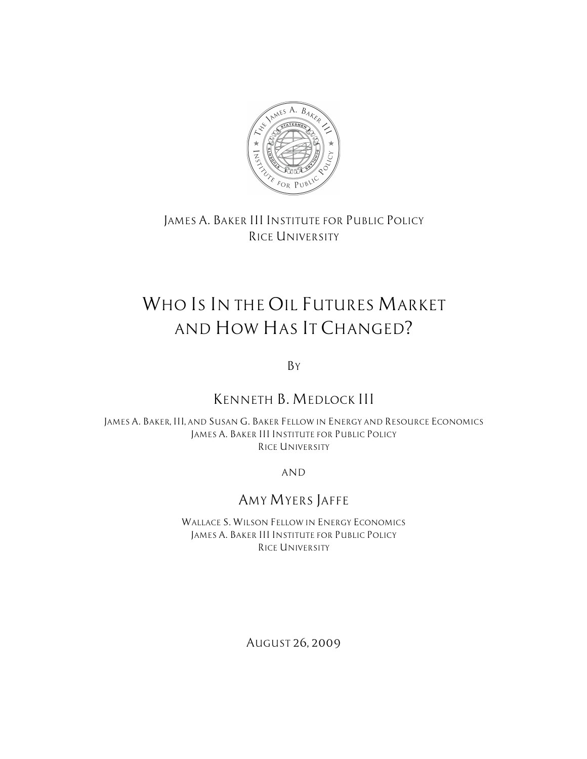

*JAMES A. BAKER III INSTITUTE FOR PUBLIC POLICY RICE UNIVERSITY*

# *WHO IS IN THE OIL FUTURES MARKET AND HOW HAS IT CHANGED?*

*BY*

# *KENNETH B. MEDLOCK III*

*JAMES A. BAKER, III, AND SUSAN G. BAKER FELLOW IN ENERGY AND RESOURCE ECONOMICS JAMES A. BAKER III INSTITUTE FOR PUBLIC POLICY RICE UNIVERSITY*

*AND*

# *AMY MYERS JAFFE*

*WALLACE S. WILSON FELLOW IN ENERGY ECONOMICS JAMES A. BAKER III INSTITUTE FOR PUBLIC POLICY RICE UNIVERSITY*

*AUGUST 26, 2009*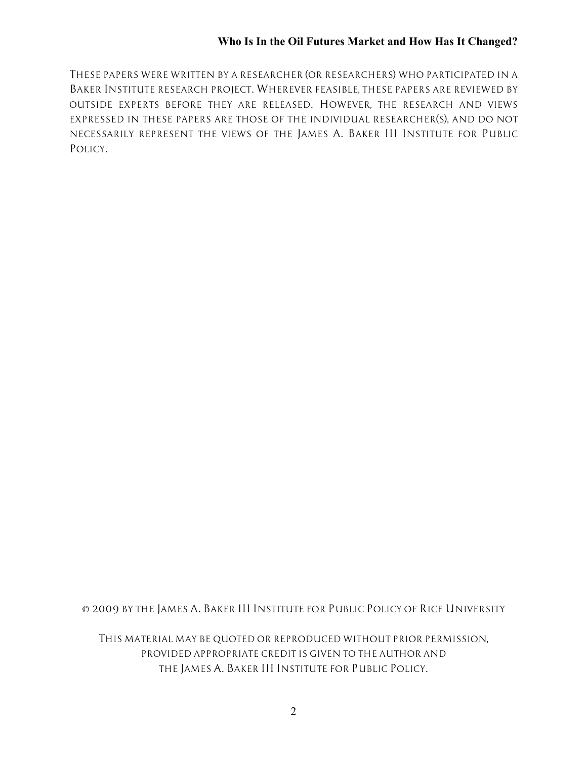*THESE PAPERS WERE WRITTEN BY A RESEARCHER (OR RESEARCHERS) WHO PARTICIPATED IN A BAKER INSTITUTE RESEARCH PROJECT. WHEREVER FEASIBLE, THESE PAPERS ARE REVIEWED BY OUTSIDE EXPERTS BEFORE THEY ARE RELEASED. HOWEVER, THE RESEARCH AND VIEWS EXPRESSED IN THESE PAPERS ARE THOSE OF THE INDIVIDUAL RESEARCHER(S), AND DO NOT NECESSARILY REPRESENT THE VIEWS OF THE JAMES A. BAKER III INSTITUTE FOR PUBLIC POLICY.*

*© 2009 BY THE JAMES A. BAKER III INSTITUTE FOR PUBLIC POLICY OF RICE UNIVERSITY*

*THIS MATERIAL MAY BE QUOTED OR REPRODUCED WITHOUT PRIOR PERMISSION, PROVIDED APPROPRIATE CREDIT IS GIVEN TO THE AUTHOR AND THE JAMES A. BAKER III INSTITUTE FOR PUBLIC POLICY.*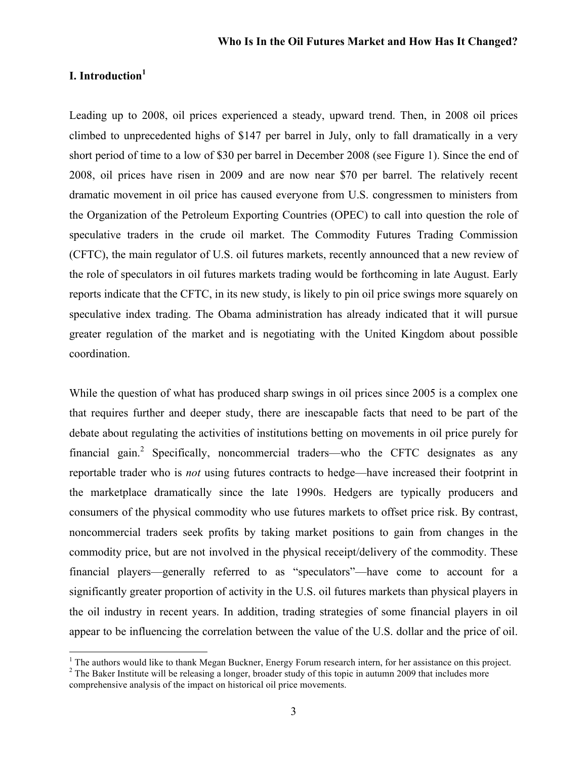# **I. Introduction<sup>1</sup>**

Leading up to 2008, oil prices experienced a steady, upward trend. Then, in 2008 oil prices climbed to unprecedented highs of \$147 per barrel in July, only to fall dramatically in a very short period of time to a low of \$30 per barrel in December 2008 (see Figure 1). Since the end of 2008, oil prices have risen in 2009 and are now near \$70 per barrel. The relatively recent dramatic movement in oil price has caused everyone from U.S. congressmen to ministers from the Organization of the Petroleum Exporting Countries (OPEC) to call into question the role of speculative traders in the crude oil market. The Commodity Futures Trading Commission (CFTC), the main regulator of U.S. oil futures markets, recently announced that a new review of the role of speculators in oil futures markets trading would be forthcoming in late August. Early reports indicate that the CFTC, in its new study, is likely to pin oil price swings more squarely on speculative index trading. The Obama administration has already indicated that it will pursue greater regulation of the market and is negotiating with the United Kingdom about possible coordination.

While the question of what has produced sharp swings in oil prices since 2005 is a complex one that requires further and deeper study, there are inescapable facts that need to be part of the debate about regulating the activities of institutions betting on movements in oil price purely for financial gain.<sup>2</sup> Specifically, noncommercial traders—who the CFTC designates as any reportable trader who is *not* using futures contracts to hedge—have increased their footprint in the marketplace dramatically since the late 1990s. Hedgers are typically producers and consumers of the physical commodity who use futures markets to offset price risk. By contrast, noncommercial traders seek profits by taking market positions to gain from changes in the commodity price, but are not involved in the physical receipt/delivery of the commodity. These financial players—generally referred to as "speculators"—have come to account for a significantly greater proportion of activity in the U.S. oil futures markets than physical players in the oil industry in recent years. In addition, trading strategies of some financial players in oil appear to be influencing the correlation between the value of the U.S. dollar and the price of oil.

<sup>&</sup>lt;sup>1</sup> The authors would like to thank Megan Buckner, Energy Forum research intern, for her assistance on this project. <sup>2</sup> The Baker Institute will be releasing a longer, broader study of this topic in autumn 2009 that incl comprehensive analysis of the impact on historical oil price movements.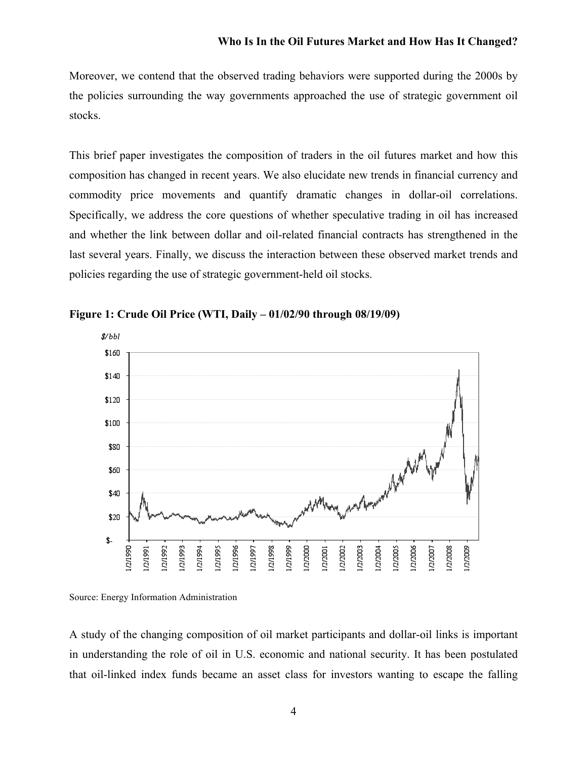Moreover, we contend that the observed trading behaviors were supported during the 2000s by the policies surrounding the way governments approached the use of strategic government oil stocks.

This brief paper investigates the composition of traders in the oil futures market and how this composition has changed in recent years. We also elucidate new trends in financial currency and commodity price movements and quantify dramatic changes in dollar-oil correlations. Specifically, we address the core questions of whether speculative trading in oil has increased and whether the link between dollar and oil-related financial contracts has strengthened in the last several years. Finally, we discuss the interaction between these observed market trends and policies regarding the use of strategic government-held oil stocks.



**Figure 1: Crude Oil Price (WTI, Daily – 01/02/90 through 08/19/09)**

Source: Energy Information Administration

A study of the changing composition of oil market participants and dollar-oil links is important in understanding the role of oil in U.S. economic and national security. It has been postulated that oil-linked index funds became an asset class for investors wanting to escape the falling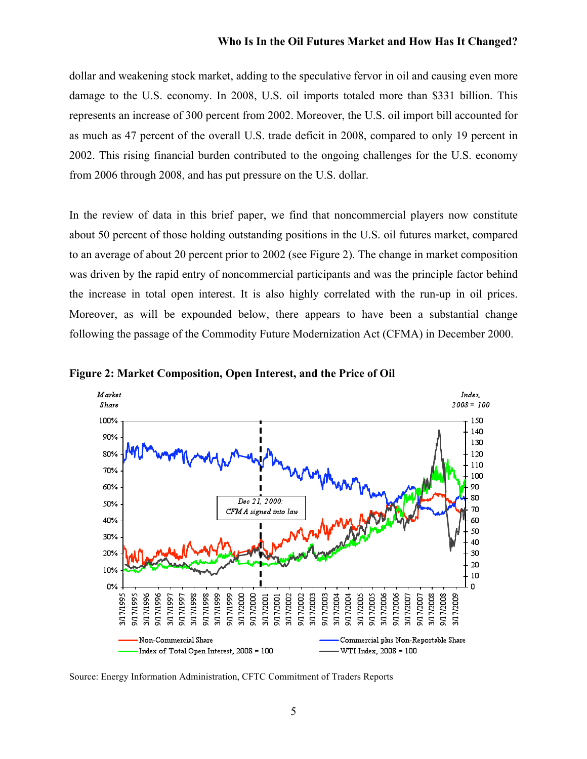dollar and weakening stock market, adding to the speculative fervor in oil and causing even more damage to the U.S. economy. In 2008, U.S. oil imports totaled more than \$331 billion. This represents an increase of 300 percent from 2002. Moreover, the U.S. oil import bill accounted for as much as 47 percent of the overall U.S. trade deficit in 2008, compared to only 19 percent in 2002. This rising financial burden contributed to the ongoing challenges for the U.S. economy from 2006 through 2008, and has put pressure on the U.S. dollar.

In the review of data in this brief paper, we find that noncommercial players now constitute about 50 percent of those holding outstanding positions in the U.S. oil futures market, compared to an average of about 20 percent prior to 2002 (see Figure 2). The change in market composition was driven by the rapid entry of noncommercial participants and was the principle factor behind the increase in total open interest. It is also highly correlated with the run-up in oil prices. Moreover, as will be expounded below, there appears to have been a substantial change following the passage of the Commodity Future Modernization Act (CFMA) in December 2000.



**Figure 2: Market Composition, Open Interest, and the Price of Oil**

Source: Energy Information Administration, CFTC Commitment of Traders Reports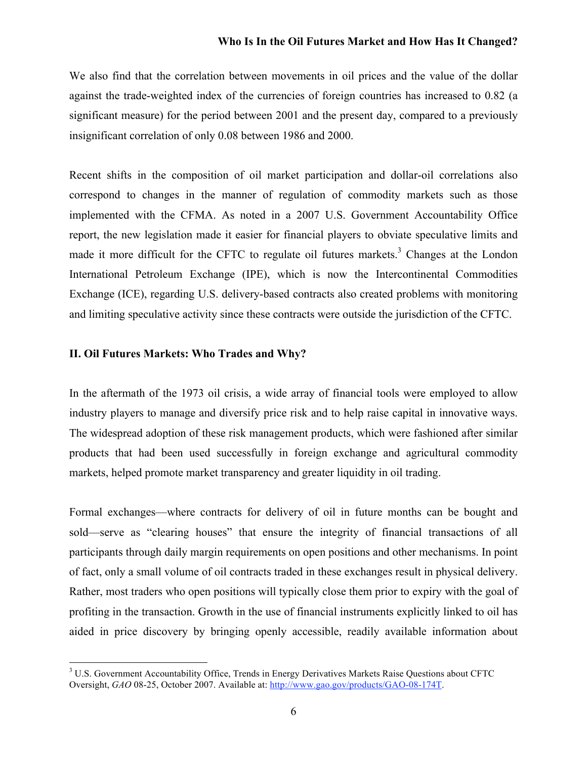We also find that the correlation between movements in oil prices and the value of the dollar against the trade-weighted index of the currencies of foreign countries has increased to 0.82 (a significant measure) for the period between 2001 and the present day, compared to a previously insignificant correlation of only 0.08 between 1986 and 2000.

Recent shifts in the composition of oil market participation and dollar-oil correlations also correspond to changes in the manner of regulation of commodity markets such as those implemented with the CFMA. As noted in a 2007 U.S. Government Accountability Office report, the new legislation made it easier for financial players to obviate speculative limits and made it more difficult for the CFTC to regulate oil futures markets.<sup>3</sup> Changes at the London International Petroleum Exchange (IPE), which is now the Intercontinental Commodities Exchange (ICE), regarding U.S. delivery-based contracts also created problems with monitoring and limiting speculative activity since these contracts were outside the jurisdiction of the CFTC.

## **II. Oil Futures Markets: Who Trades and Why?**

In the aftermath of the 1973 oil crisis, a wide array of financial tools were employed to allow industry players to manage and diversify price risk and to help raise capital in innovative ways. The widespread adoption of these risk management products, which were fashioned after similar products that had been used successfully in foreign exchange and agricultural commodity markets, helped promote market transparency and greater liquidity in oil trading.

Formal exchanges—where contracts for delivery of oil in future months can be bought and sold—serve as "clearing houses" that ensure the integrity of financial transactions of all participants through daily margin requirements on open positions and other mechanisms. In point of fact, only a small volume of oil contracts traded in these exchanges result in physical delivery. Rather, most traders who open positions will typically close them prior to expiry with the goal of profiting in the transaction. Growth in the use of financial instruments explicitly linked to oil has aided in price discovery by bringing openly accessible, readily available information about

<sup>&</sup>lt;sup>3</sup> U.S. Government Accountability Office, Trends in Energy Derivatives Markets Raise Questions about CFTC Oversight, *GAO* 08-25, October 2007. Available at: http://www.gao.gov/products/GAO-08-174T.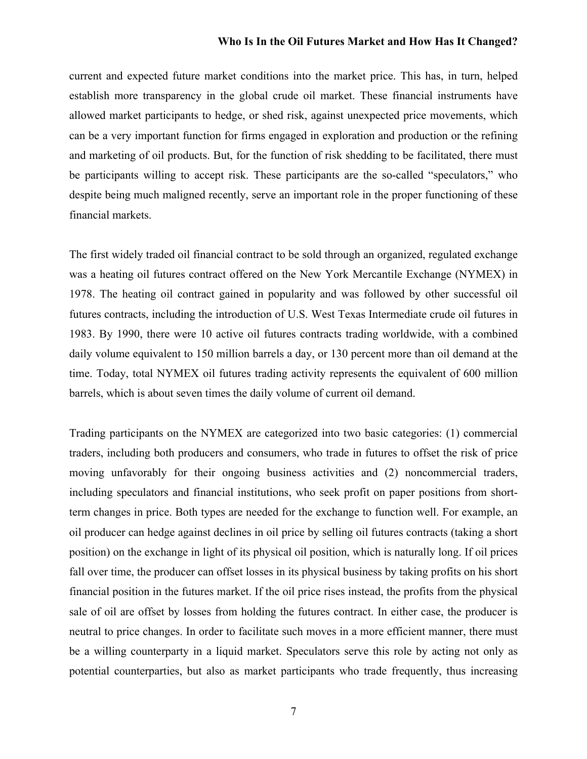current and expected future market conditions into the market price. This has, in turn, helped establish more transparency in the global crude oil market. These financial instruments have allowed market participants to hedge, or shed risk, against unexpected price movements, which can be a very important function for firms engaged in exploration and production or the refining and marketing of oil products. But, for the function of risk shedding to be facilitated, there must be participants willing to accept risk. These participants are the so-called "speculators," who despite being much maligned recently, serve an important role in the proper functioning of these financial markets.

The first widely traded oil financial contract to be sold through an organized, regulated exchange was a heating oil futures contract offered on the New York Mercantile Exchange (NYMEX) in 1978. The heating oil contract gained in popularity and was followed by other successful oil futures contracts, including the introduction of U.S. West Texas Intermediate crude oil futures in 1983. By 1990, there were 10 active oil futures contracts trading worldwide, with a combined daily volume equivalent to 150 million barrels a day, or 130 percent more than oil demand at the time. Today, total NYMEX oil futures trading activity represents the equivalent of 600 million barrels, which is about seven times the daily volume of current oil demand.

Trading participants on the NYMEX are categorized into two basic categories: (1) commercial traders, including both producers and consumers, who trade in futures to offset the risk of price moving unfavorably for their ongoing business activities and (2) noncommercial traders, including speculators and financial institutions, who seek profit on paper positions from shortterm changes in price. Both types are needed for the exchange to function well. For example, an oil producer can hedge against declines in oil price by selling oil futures contracts (taking a short position) on the exchange in light of its physical oil position, which is naturally long. If oil prices fall over time, the producer can offset losses in its physical business by taking profits on his short financial position in the futures market. If the oil price rises instead, the profits from the physical sale of oil are offset by losses from holding the futures contract. In either case, the producer is neutral to price changes. In order to facilitate such moves in a more efficient manner, there must be a willing counterparty in a liquid market. Speculators serve this role by acting not only as potential counterparties, but also as market participants who trade frequently, thus increasing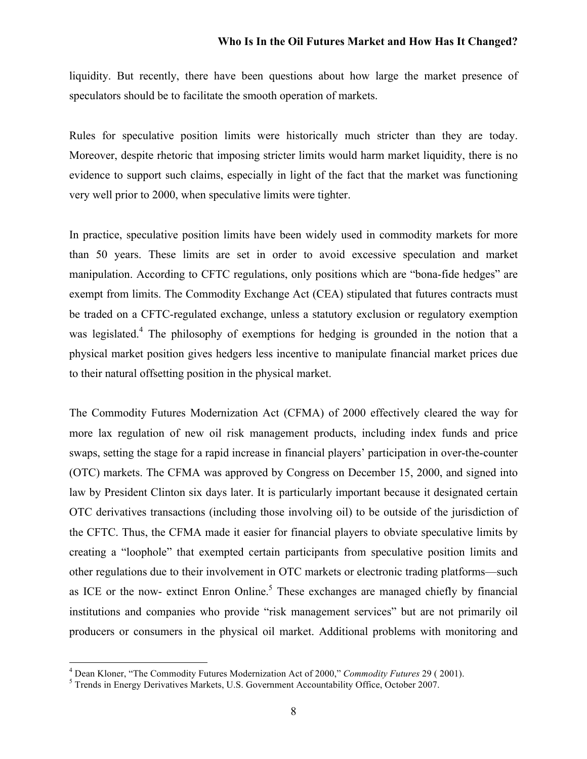liquidity. But recently, there have been questions about how large the market presence of speculators should be to facilitate the smooth operation of markets.

Rules for speculative position limits were historically much stricter than they are today. Moreover, despite rhetoric that imposing stricter limits would harm market liquidity, there is no evidence to support such claims, especially in light of the fact that the market was functioning very well prior to 2000, when speculative limits were tighter.

In practice, speculative position limits have been widely used in commodity markets for more than 50 years. These limits are set in order to avoid excessive speculation and market manipulation. According to CFTC regulations, only positions which are "bona-fide hedges" are exempt from limits. The Commodity Exchange Act (CEA) stipulated that futures contracts must be traded on a CFTC-regulated exchange, unless a statutory exclusion or regulatory exemption was legislated.<sup>4</sup> The philosophy of exemptions for hedging is grounded in the notion that a physical market position gives hedgers less incentive to manipulate financial market prices due to their natural offsetting position in the physical market.

The Commodity Futures Modernization Act (CFMA) of 2000 effectively cleared the way for more lax regulation of new oil risk management products, including index funds and price swaps, setting the stage for a rapid increase in financial players' participation in over-the-counter (OTC) markets. The CFMA was approved by Congress on December 15, 2000, and signed into law by President Clinton six days later. It is particularly important because it designated certain OTC derivatives transactions (including those involving oil) to be outside of the jurisdiction of the CFTC. Thus, the CFMA made it easier for financial players to obviate speculative limits by creating a "loophole" that exempted certain participants from speculative position limits and other regulations due to their involvement in OTC markets or electronic trading platforms—such as ICE or the now- extinct Enron Online.<sup>5</sup> These exchanges are managed chiefly by financial institutions and companies who provide "risk management services" but are not primarily oil producers or consumers in the physical oil market. Additional problems with monitoring and

<sup>&</sup>lt;sup>4</sup> Dean Kloner, "The Commodity Futures Modernization Act of 2000," *Commodity Futures* 29 ( 2001).<br><sup>5</sup> Trends in Energy Derivatives Markets, U.S. Government Accountability Office, October 2007.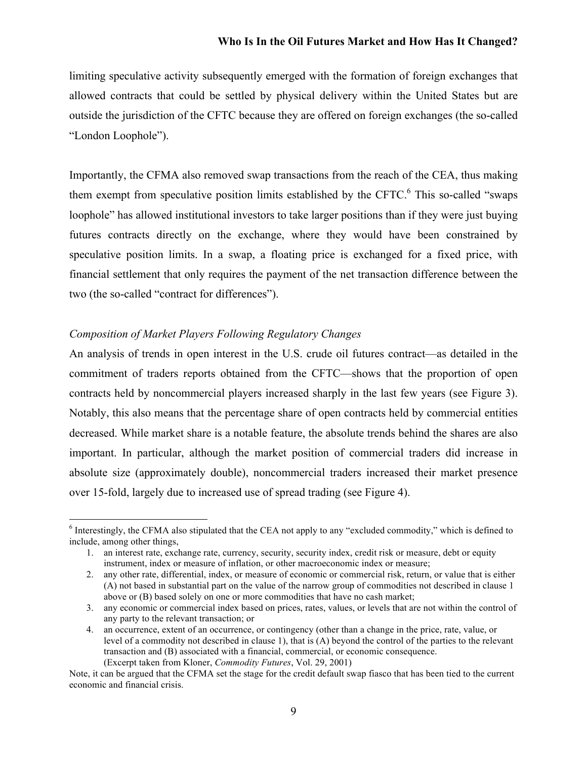limiting speculative activity subsequently emerged with the formation of foreign exchanges that allowed contracts that could be settled by physical delivery within the United States but are outside the jurisdiction of the CFTC because they are offered on foreign exchanges (the so-called "London Loophole").

Importantly, the CFMA also removed swap transactions from the reach of the CEA, thus making them exempt from speculative position limits established by the CFTC. $6$  This so-called "swaps" loophole" has allowed institutional investors to take larger positions than if they were just buying futures contracts directly on the exchange, where they would have been constrained by speculative position limits. In a swap, a floating price is exchanged for a fixed price, with financial settlement that only requires the payment of the net transaction difference between the two (the so-called "contract for differences").

#### *Composition of Market Players Following Regulatory Changes*

An analysis of trends in open interest in the U.S. crude oil futures contract—as detailed in the commitment of traders reports obtained from the CFTC—shows that the proportion of open contracts held by noncommercial players increased sharply in the last few years (see Figure 3). Notably, this also means that the percentage share of open contracts held by commercial entities decreased. While market share is a notable feature, the absolute trends behind the shares are also important. In particular, although the market position of commercial traders did increase in absolute size (approximately double), noncommercial traders increased their market presence over 15-fold, largely due to increased use of spread trading (see Figure 4).

<sup>&</sup>lt;sup>6</sup> Interestingly, the CFMA also stipulated that the CEA not apply to any "excluded commodity," which is defined to include, among other things,

<sup>1.</sup> an interest rate, exchange rate, currency, security, security index, credit risk or measure, debt or equity instrument, index or measure of inflation, or other macroeconomic index or measure;

<sup>2.</sup> any other rate, differential, index, or measure of economic or commercial risk, return, or value that is either (A) not based in substantial part on the value of the narrow group of commodities not described in clause 1 above or (B) based solely on one or more commodities that have no cash market;

<sup>3.</sup> any economic or commercial index based on prices, rates, values, or levels that are not within the control of any party to the relevant transaction; or

<sup>4.</sup> an occurrence, extent of an occurrence, or contingency (other than a change in the price, rate, value, or level of a commodity not described in clause 1), that is (A) beyond the control of the parties to the relevant transaction and (B) associated with a financial, commercial, or economic consequence. (Excerpt taken from Kloner, *Commodity Futures*, Vol. 29, 2001)

Note, it can be argued that the CFMA set the stage for the credit default swap fiasco that has been tied to the current economic and financial crisis.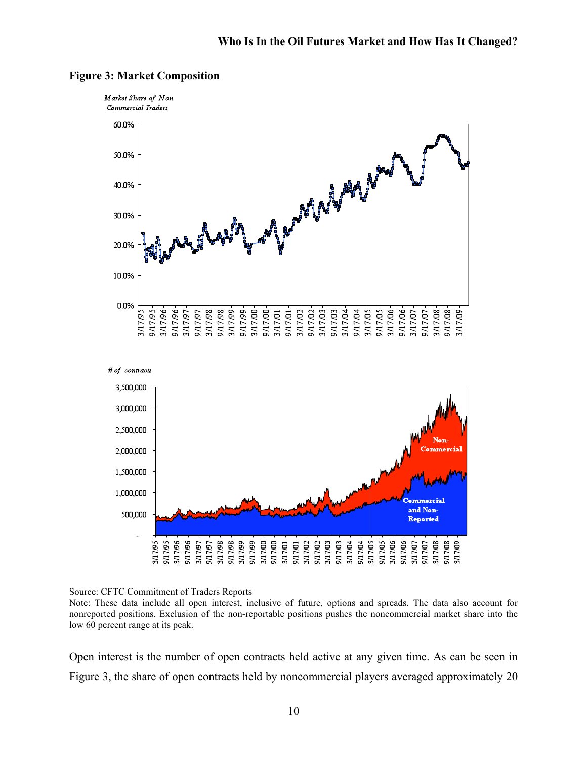

#### **Figure 3: Market Composition**



Source: CFTC Commitment of Traders Reports

Note: These data include all open interest, inclusive of future, options and spreads. The data also account for nonreported positions. Exclusion of the non-reportable positions pushes the noncommercial market share into the low 60 percent range at its peak.

Open interest is the number of open contracts held active at any given time. As can be seen in Figure 3, the share of open contracts held by noncommercial players averaged approximately 20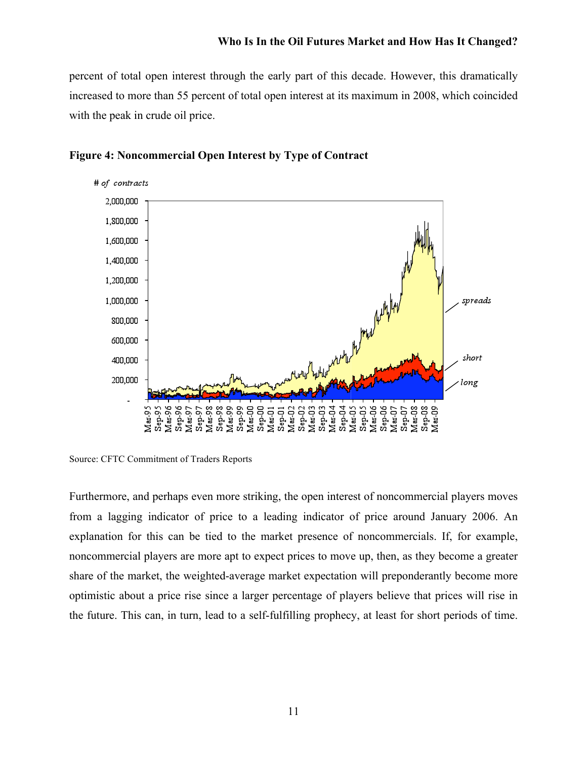percent of total open interest through the early part of this decade. However, this dramatically increased to more than 55 percent of total open interest at its maximum in 2008, which coincided with the peak in crude oil price.



### **Figure 4: Noncommercial Open Interest by Type of Contract**

Source: CFTC Commitment of Traders Reports

Furthermore, and perhaps even more striking, the open interest of noncommercial players moves from a lagging indicator of price to a leading indicator of price around January 2006. An explanation for this can be tied to the market presence of noncommercials. If, for example, noncommercial players are more apt to expect prices to move up, then, as they become a greater share of the market, the weighted-average market expectation will preponderantly become more optimistic about a price rise since a larger percentage of players believe that prices will rise in the future. This can, in turn, lead to a self-fulfilling prophecy, at least for short periods of time.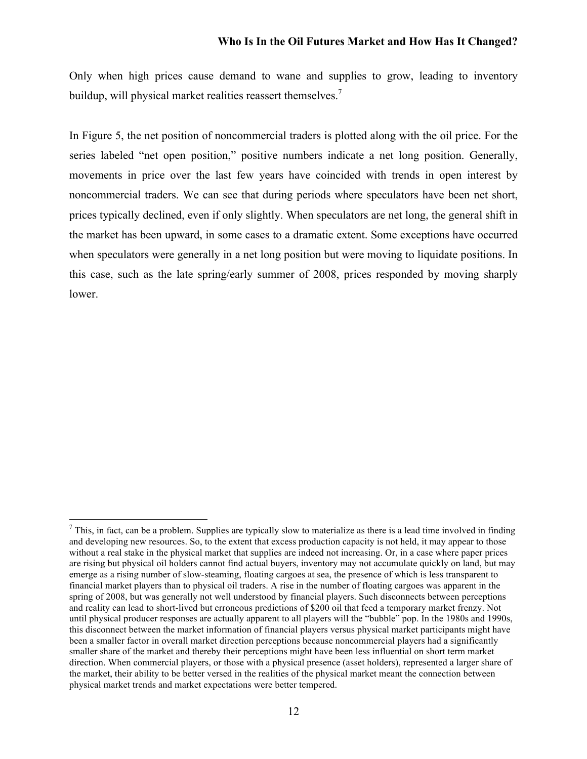Only when high prices cause demand to wane and supplies to grow, leading to inventory buildup, will physical market realities reassert themselves.<sup>7</sup>

In Figure 5, the net position of noncommercial traders is plotted along with the oil price. For the series labeled "net open position," positive numbers indicate a net long position. Generally, movements in price over the last few years have coincided with trends in open interest by noncommercial traders. We can see that during periods where speculators have been net short, prices typically declined, even if only slightly. When speculators are net long, the general shift in the market has been upward, in some cases to a dramatic extent. Some exceptions have occurred when speculators were generally in a net long position but were moving to liquidate positions. In this case, such as the late spring/early summer of 2008, prices responded by moving sharply lower.

 $<sup>7</sup>$  This, in fact, can be a problem. Supplies are typically slow to materialize as there is a lead time involved in finding</sup> and developing new resources. So, to the extent that excess production capacity is not held, it may appear to those without a real stake in the physical market that supplies are indeed not increasing. Or, in a case where paper prices are rising but physical oil holders cannot find actual buyers, inventory may not accumulate quickly on land, but may emerge as a rising number of slow-steaming, floating cargoes at sea, the presence of which is less transparent to financial market players than to physical oil traders. A rise in the number of floating cargoes was apparent in the spring of 2008, but was generally not well understood by financial players. Such disconnects between perceptions and reality can lead to short-lived but erroneous predictions of \$200 oil that feed a temporary market frenzy. Not until physical producer responses are actually apparent to all players will the "bubble" pop. In the 1980s and 1990s, this disconnect between the market information of financial players versus physical market participants might have been a smaller factor in overall market direction perceptions because noncommercial players had a significantly smaller share of the market and thereby their perceptions might have been less influential on short term market direction. When commercial players, or those with a physical presence (asset holders), represented a larger share of the market, their ability to be better versed in the realities of the physical market meant the connection between physical market trends and market expectations were better tempered.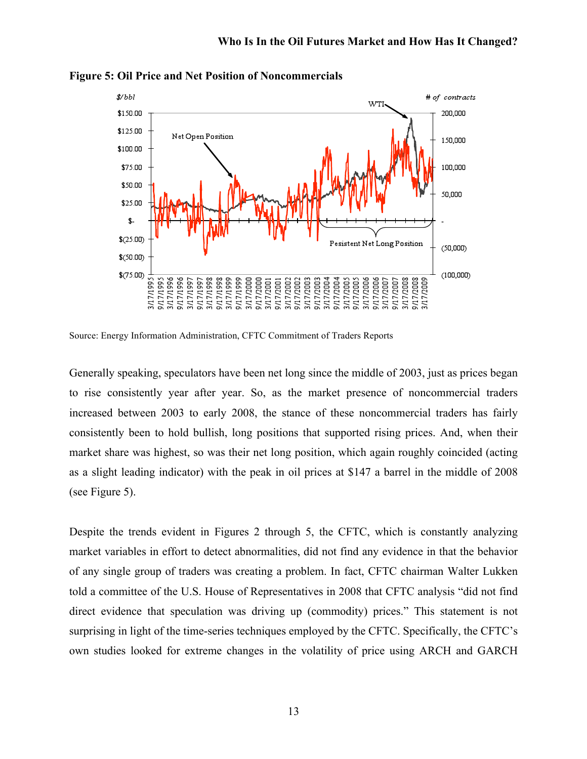

**Figure 5: Oil Price and Net Position of Noncommercials**

Source: Energy Information Administration, CFTC Commitment of Traders Reports

Generally speaking, speculators have been net long since the middle of 2003, just as prices began to rise consistently year after year. So, as the market presence of noncommercial traders increased between 2003 to early 2008, the stance of these noncommercial traders has fairly consistently been to hold bullish, long positions that supported rising prices. And, when their market share was highest, so was their net long position, which again roughly coincided (acting as a slight leading indicator) with the peak in oil prices at \$147 a barrel in the middle of 2008 (see Figure 5).

Despite the trends evident in Figures 2 through 5, the CFTC, which is constantly analyzing market variables in effort to detect abnormalities, did not find any evidence in that the behavior of any single group of traders was creating a problem. In fact, CFTC chairman Walter Lukken told a committee of the U.S. House of Representatives in 2008 that CFTC analysis "did not find direct evidence that speculation was driving up (commodity) prices." This statement is not surprising in light of the time-series techniques employed by the CFTC. Specifically, the CFTC's own studies looked for extreme changes in the volatility of price using ARCH and GARCH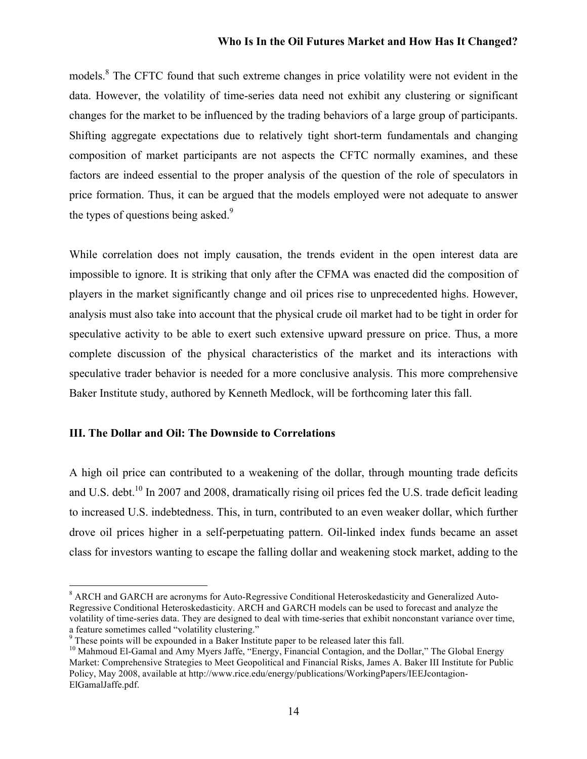models.<sup>8</sup> The CFTC found that such extreme changes in price volatility were not evident in the data. However, the volatility of time-series data need not exhibit any clustering or significant changes for the market to be influenced by the trading behaviors of a large group of participants. Shifting aggregate expectations due to relatively tight short-term fundamentals and changing composition of market participants are not aspects the CFTC normally examines, and these factors are indeed essential to the proper analysis of the question of the role of speculators in price formation. Thus, it can be argued that the models employed were not adequate to answer the types of questions being asked.<sup>9</sup>

While correlation does not imply causation, the trends evident in the open interest data are impossible to ignore. It is striking that only after the CFMA was enacted did the composition of players in the market significantly change and oil prices rise to unprecedented highs. However, analysis must also take into account that the physical crude oil market had to be tight in order for speculative activity to be able to exert such extensive upward pressure on price. Thus, a more complete discussion of the physical characteristics of the market and its interactions with speculative trader behavior is needed for a more conclusive analysis. This more comprehensive Baker Institute study, authored by Kenneth Medlock, will be forthcoming later this fall.

#### **III. The Dollar and Oil: The Downside to Correlations**

A high oil price can contributed to a weakening of the dollar, through mounting trade deficits and U.S. debt.<sup>10</sup> In 2007 and 2008, dramatically rising oil prices fed the U.S. trade deficit leading to increased U.S. indebtedness. This, in turn, contributed to an even weaker dollar, which further drove oil prices higher in a self-perpetuating pattern. Oil-linked index funds became an asset class for investors wanting to escape the falling dollar and weakening stock market, adding to the

 <sup>8</sup> ARCH and GARCH are acronyms for Auto-Regressive Conditional Heteroskedasticity and Generalized Auto-Regressive Conditional Heteroskedasticity. ARCH and GARCH models can be used to forecast and analyze the volatility of time-series data. They are designed to deal with time-series that exhibit nonconstant variance over time, a feature sometimes called "volatility clustering."<br>
<sup>9</sup> These points will be expounded in a Baker Institute paper to be released later this fall.<br>
<sup>10</sup> Mahmoud El-Gamal and Amy Myers Jaffe, "Energy, Financial Contagion, a

Market: Comprehensive Strategies to Meet Geopolitical and Financial Risks, James A. Baker III Institute for Public Policy, May 2008, available at http://www.rice.edu/energy/publications/WorkingPapers/IEEJcontagion-ElGamalJaffe.pdf.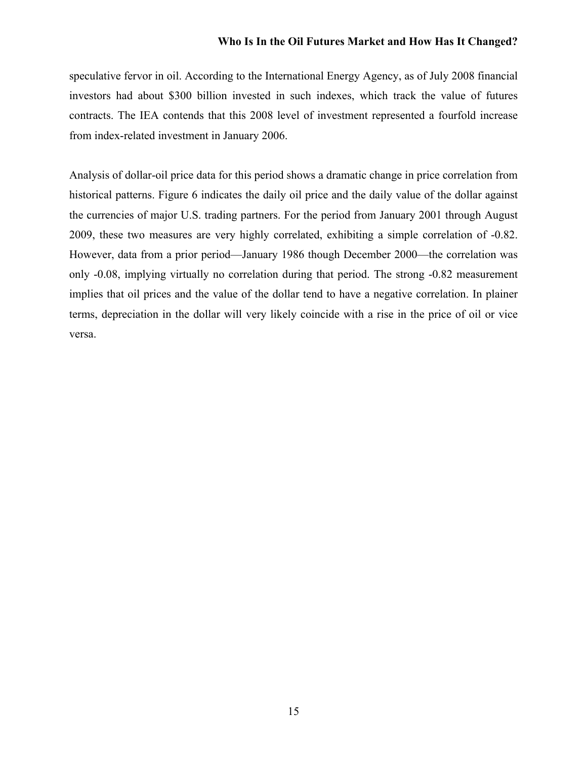speculative fervor in oil. According to the International Energy Agency, as of July 2008 financial investors had about \$300 billion invested in such indexes, which track the value of futures contracts. The IEA contends that this 2008 level of investment represented a fourfold increase from index-related investment in January 2006.

Analysis of dollar-oil price data for this period shows a dramatic change in price correlation from historical patterns. Figure 6 indicates the daily oil price and the daily value of the dollar against the currencies of major U.S. trading partners. For the period from January 2001 through August 2009, these two measures are very highly correlated, exhibiting a simple correlation of -0.82. However, data from a prior period—January 1986 though December 2000—the correlation was only -0.08, implying virtually no correlation during that period. The strong -0.82 measurement implies that oil prices and the value of the dollar tend to have a negative correlation. In plainer terms, depreciation in the dollar will very likely coincide with a rise in the price of oil or vice versa.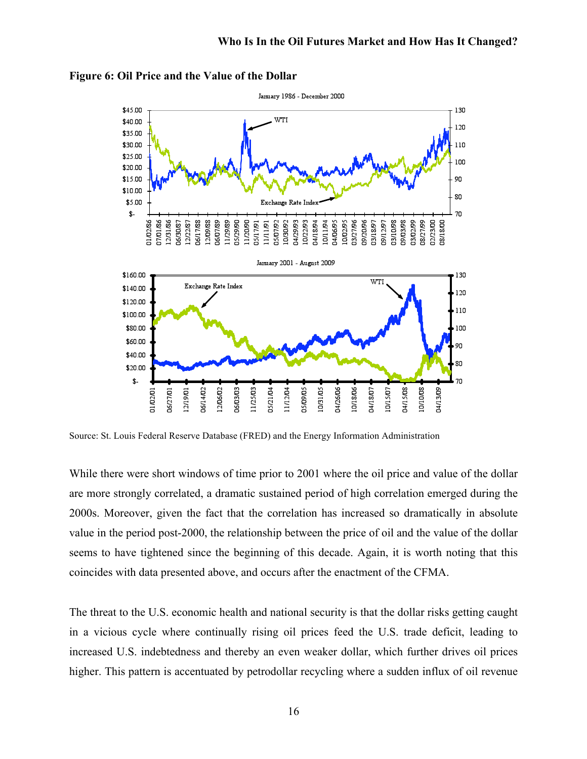

**Figure 6: Oil Price and the Value of the Dollar**

Source: St. Louis Federal Reserve Database (FRED) and the Energy Information Administration

While there were short windows of time prior to 2001 where the oil price and value of the dollar are more strongly correlated, a dramatic sustained period of high correlation emerged during the 2000s. Moreover, given the fact that the correlation has increased so dramatically in absolute value in the period post-2000, the relationship between the price of oil and the value of the dollar seems to have tightened since the beginning of this decade. Again, it is worth noting that this coincides with data presented above, and occurs after the enactment of the CFMA.

The threat to the U.S. economic health and national security is that the dollar risks getting caught in a vicious cycle where continually rising oil prices feed the U.S. trade deficit, leading to increased U.S. indebtedness and thereby an even weaker dollar, which further drives oil prices higher. This pattern is accentuated by petrodollar recycling where a sudden influx of oil revenue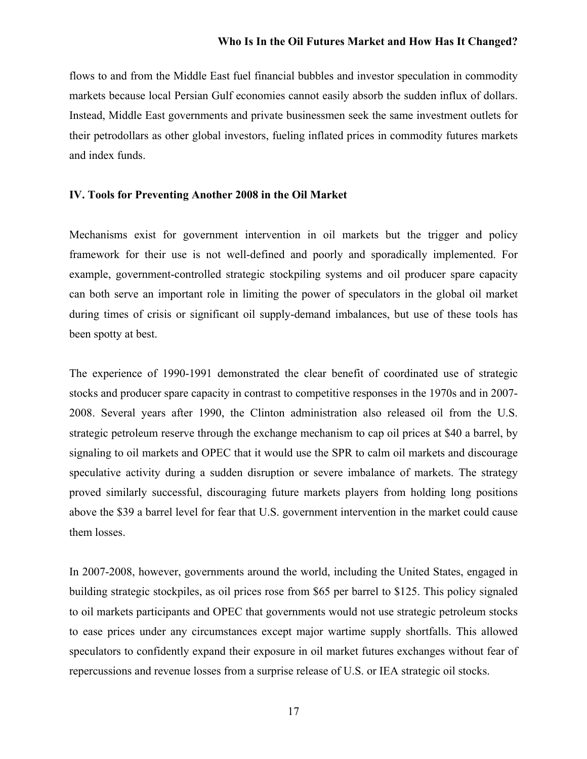flows to and from the Middle East fuel financial bubbles and investor speculation in commodity markets because local Persian Gulf economies cannot easily absorb the sudden influx of dollars. Instead, Middle East governments and private businessmen seek the same investment outlets for their petrodollars as other global investors, fueling inflated prices in commodity futures markets and index funds.

## **IV. Tools for Preventing Another 2008 in the Oil Market**

Mechanisms exist for government intervention in oil markets but the trigger and policy framework for their use is not well-defined and poorly and sporadically implemented. For example, government-controlled strategic stockpiling systems and oil producer spare capacity can both serve an important role in limiting the power of speculators in the global oil market during times of crisis or significant oil supply-demand imbalances, but use of these tools has been spotty at best.

The experience of 1990-1991 demonstrated the clear benefit of coordinated use of strategic stocks and producer spare capacity in contrast to competitive responses in the 1970s and in 2007- 2008. Several years after 1990, the Clinton administration also released oil from the U.S. strategic petroleum reserve through the exchange mechanism to cap oil prices at \$40 a barrel, by signaling to oil markets and OPEC that it would use the SPR to calm oil markets and discourage speculative activity during a sudden disruption or severe imbalance of markets. The strategy proved similarly successful, discouraging future markets players from holding long positions above the \$39 a barrel level for fear that U.S. government intervention in the market could cause them losses.

In 2007-2008, however, governments around the world, including the United States, engaged in building strategic stockpiles, as oil prices rose from \$65 per barrel to \$125. This policy signaled to oil markets participants and OPEC that governments would not use strategic petroleum stocks to ease prices under any circumstances except major wartime supply shortfalls. This allowed speculators to confidently expand their exposure in oil market futures exchanges without fear of repercussions and revenue losses from a surprise release of U.S. or IEA strategic oil stocks.